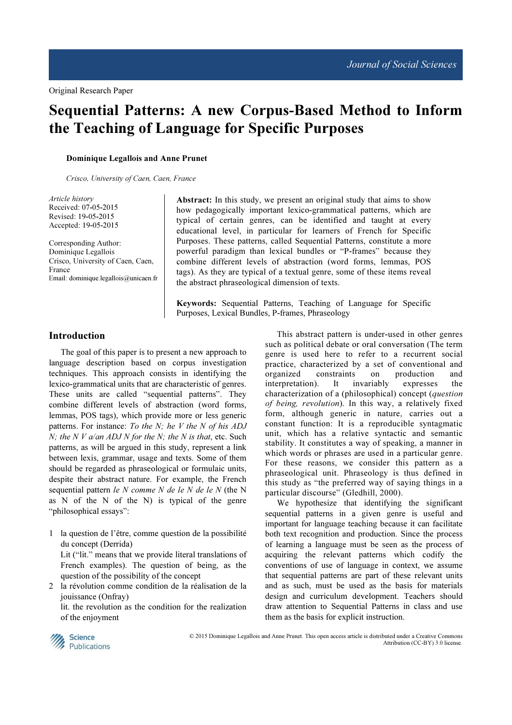# Sequential Patterns: A new Corpus-Based Method to Inform the Teaching of Language for Specific Purposes

Dominique Legallois and Anne Prunet

Crisco, University of Caen, Caen, France

Article history Received: 07-05-2015 Revised: 19-05-2015 Accepted: 19-05-2015

Corresponding Author: Dominique Legallois Crisco, University of Caen, Caen, France Email: dominique.legallois@unicaen.fr

Abstract: In this study, we present an original study that aims to show how pedagogically important lexico-grammatical patterns, which are typical of certain genres, can be identified and taught at every educational level, in particular for learners of French for Specific Purposes. These patterns, called Sequential Patterns, constitute a more powerful paradigm than lexical bundles or "P-frames" because they combine different levels of abstraction (word forms, lemmas, POS tags). As they are typical of a textual genre, some of these items reveal the abstract phraseological dimension of texts.

Keywords: Sequential Patterns, Teaching of Language for Specific Purposes, Lexical Bundles, P-frames, Phraseology

# Introduction

The goal of this paper is to present a new approach to language description based on corpus investigation techniques. This approach consists in identifying the lexico-grammatical units that are characteristic of genres. These units are called "sequential patterns". They combine different levels of abstraction (word forms, lemmas, POS tags), which provide more or less generic patterns. For instance: To the  $N$ ; he  $V$  the  $N$  of his  $ADJ$ N; the N V  $a$ /an ADJ N for the N; the N is that, etc. Such patterns, as will be argued in this study, represent a link between lexis, grammar, usage and texts. Some of them should be regarded as phraseological or formulaic units, despite their abstract nature. For example, the French sequential pattern  $le N$  comme  $N$  de  $le N$  de  $le N$  (the N as N of the N of the N) is typical of the genre "philosophical essays":

- 1 la question de l'être, comme question de la possibilité du concept (Derrida) Lit ("lit." means that we provide literal translations of French examples). The question of being, as the question of the possibility of the concept
- 2 la révolution comme condition de la réalisation de la jouissance (Onfray)

 lit. the revolution as the condition for the realization of the enjoyment

This abstract pattern is under-used in other genres such as political debate or oral conversation (The term genre is used here to refer to a recurrent social practice, characterized by a set of conventional and organized constraints on production and interpretation). It invariably expresses the characterization of a (philosophical) concept (*question*) of being, revolution). In this way, a relatively fixed form, although generic in nature, carries out a constant function: It is a reproducible syntagmatic unit, which has a relative syntactic and semantic stability. It constitutes a way of speaking, a manner in which words or phrases are used in a particular genre. For these reasons, we consider this pattern as a phraseological unit. Phraseology is thus defined in this study as "the preferred way of saying things in a particular discourse" (Gledhill, 2000).

We hypothesize that identifying the significant sequential patterns in a given genre is useful and important for language teaching because it can facilitate both text recognition and production. Since the process of learning a language must be seen as the process of acquiring the relevant patterns which codify the conventions of use of language in context, we assume that sequential patterns are part of these relevant units and as such, must be used as the basis for materials design and curriculum development. Teachers should draw attention to Sequential Patterns in class and use them as the basis for explicit instruction.



 © 2015 Dominique Legallois and Anne Prunet. This open access article is distributed under a Creative Commons Attribution (CC-BY) 3.0 license.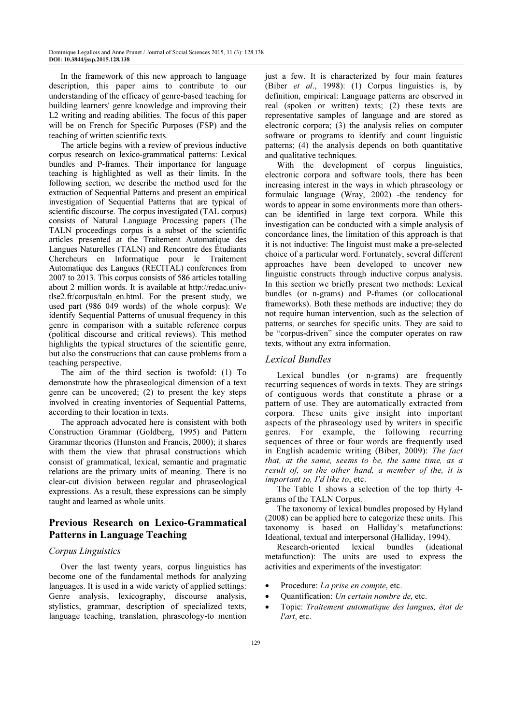In the framework of this new approach to language description, this paper aims to contribute to our understanding of the efficacy of genre-based teaching for building learners' genre knowledge and improving their L2 writing and reading abilities. The focus of this paper will be on French for Specific Purposes (FSP) and the teaching of written scientific texts.

The article begins with a review of previous inductive corpus research on lexico-grammatical patterns: Lexical bundles and P-frames. Their importance for language teaching is highlighted as well as their limits. In the following section, we describe the method used for the extraction of Sequential Patterns and present an empirical investigation of Sequential Patterns that are typical of scientific discourse. The corpus investigated (TAL corpus) consists of Natural Language Processing papers (The TALN proceedings corpus is a subset of the scientific articles presented at the Traitement Automatique des Langues Naturelles (TALN) and Rencontre des Étudiants Chercheurs en Informatique pour le Traitement Automatique des Langues (RECITAL) conferences from 2007 to 2013. This corpus consists of 586 articles totalling about 2 million words. It is available at http://redac.univtlse2.fr/corpus/taln\_en.html. For the present study, we used part (986 049 words) of the whole corpus): We identify Sequential Patterns of unusual frequency in this genre in comparison with a suitable reference corpus (political discourse and critical reviews). This method highlights the typical structures of the scientific genre, but also the constructions that can cause problems from a teaching perspective.

The aim of the third section is twofold: (1) To demonstrate how the phraseological dimension of a text genre can be uncovered; (2) to present the key steps involved in creating inventories of Sequential Patterns, according to their location in texts.

The approach advocated here is consistent with both Construction Grammar (Goldberg, 1995) and Pattern Grammar theories (Hunston and Francis, 2000); it shares with them the view that phrasal constructions which consist of grammatical, lexical, semantic and pragmatic relations are the primary units of meaning. There is no clear-cut division between regular and phraseological expressions. As a result, these expressions can be simply taught and learned as whole units.

# Previous Research on Lexico-Grammatical Patterns in Language Teaching

# Corpus Linguistics

Over the last twenty years, corpus linguistics has become one of the fundamental methods for analyzing languages. It is used in a wide variety of applied settings: Genre analysis, lexicography, discourse analysis, stylistics, grammar, description of specialized texts, language teaching, translation, phraseology-to mention

just a few. It is characterized by four main features (Biber et al., 1998): (1) Corpus linguistics is, by definition, empirical: Language patterns are observed in real (spoken or written) texts; (2) these texts are representative samples of language and are stored as electronic corpora; (3) the analysis relies on computer software or programs to identify and count linguistic patterns; (4) the analysis depends on both quantitative and qualitative techniques.

With the development of corpus linguistics, electronic corpora and software tools, there has been increasing interest in the ways in which phraseology or formulaic language (Wray, 2002) -the tendency for words to appear in some environments more than otherscan be identified in large text corpora. While this investigation can be conducted with a simple analysis of concordance lines, the limitation of this approach is that it is not inductive: The linguist must make a pre-selected choice of a particular word. Fortunately, several different approaches have been developed to uncover new linguistic constructs through inductive corpus analysis. In this section we briefly present two methods: Lexical bundles (or n-grams) and P-frames (or collocational frameworks). Both these methods are inductive; they do not require human intervention, such as the selection of patterns, or searches for specific units. They are said to be "corpus-driven" since the computer operates on raw texts, without any extra information.

# Lexical Bundles

Lexical bundles (or n-grams) are frequently recurring sequences of words in texts. They are strings of contiguous words that constitute a phrase or a pattern of use. They are automatically extracted from corpora. These units give insight into important aspects of the phraseology used by writers in specific genres. For example, the following recurring sequences of three or four words are frequently used in English academic writing (Biber, 2009): The fact that, at the same, seems to be, the same time, as a result of, on the other hand, a member of the, it is important to, I'd like to, etc.

The Table 1 shows a selection of the top thirty 4 grams of the TALN Corpus.

The taxonomy of lexical bundles proposed by Hyland (2008) can be applied here to categorize these units. This taxonomy is based on Halliday's metafunctions: Ideational, textual and interpersonal (Halliday, 1994).

Research-oriented lexical bundles (ideational metafunction): The units are used to express the activities and experiments of the investigator:

- Procedure: La prise en compte, etc.
- Quantification: Un certain nombre de, etc.
- Topic: Traitement automatique des langues, état de l'art, etc.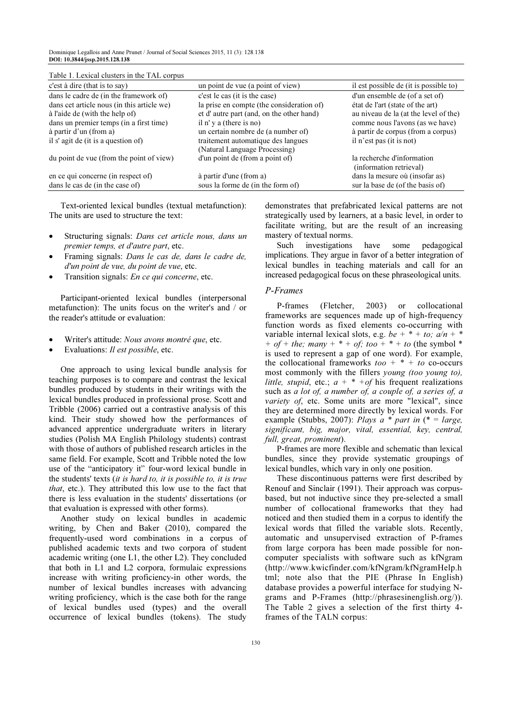| Table 1. Lexical clusters in the TAL corpus |  |
|---------------------------------------------|--|
|---------------------------------------------|--|

| c'est à dire (that is to say)              | un point de vue (a point of view)         | il est possible de (it is possible to) |
|--------------------------------------------|-------------------------------------------|----------------------------------------|
| dans le cadre de (in the framework of)     | c'est le cas (it is the case)             | d'un ensemble de (of a set of)         |
| dans cet article nous (in this article we) | la prise en compte (the consideration of) | état de l'art (state of the art)       |
| à l'aide de (with the help of)             | et d'autre part (and, on the other hand)  | au niveau de la (at the level of the)  |
| dans un premier temps (in a first time)    | il n' y a (there is no)                   | comme nous l'avons (as we have)        |
| à partir d'un (from a)                     | un certain nombre de (a number of)        | à partir de corpus (from a corpus)     |
| il s' agit de (it is a question of)        | traitement automatique des langues        | il n'est pas (it is not)               |
|                                            | (Natural Language Processing)             |                                        |
| du point de vue (from the point of view)   | d'un point de (from a point of)           | la recherche d'information             |
|                                            |                                           | (information retrieval)                |
| en ce qui concerne (in respect of)         | à partir d'une (from a)                   | dans la mesure où (insofar as)         |
| dans le cas de (in the case of)            | sous la forme de (in the form of)         | sur la base de (of the basis of)       |

Text-oriented lexical bundles (textual metafunction): The units are used to structure the text:

- Structuring signals: Dans cet article nous, dans un premier temps, et d'autre part, etc.
- Framing signals: Dans le cas de, dans le cadre de, d'un point de vue, du point de vue, etc.
- Transition signals: En ce qui concerne, etc.

Participant-oriented lexical bundles (interpersonal metafunction): The units focus on the writer's and / or the reader's attitude or evaluation:

- Writer's attitude: Nous avons montré que, etc.
- Evaluations: Il est possible, etc.

One approach to using lexical bundle analysis for teaching purposes is to compare and contrast the lexical bundles produced by students in their writings with the lexical bundles produced in professional prose. Scott and Tribble (2006) carried out a contrastive analysis of this kind. Their study showed how the performances of advanced apprentice undergraduate writers in literary studies (Polish MA English Philology students) contrast with those of authors of published research articles in the same field. For example, Scott and Tribble noted the low use of the "anticipatory it" four-word lexical bundle in the students' texts (it is hard to, it is possible to, it is true that, etc.). They attributed this low use to the fact that there is less evaluation in the students' dissertations (or that evaluation is expressed with other forms).

Another study on lexical bundles in academic writing, by Chen and Baker (2010), compared the frequently-used word combinations in a corpus of published academic texts and two corpora of student academic writing (one L1, the other L2). They concluded that both in L1 and L2 corpora, formulaic expressions increase with writing proficiency-in other words, the number of lexical bundles increases with advancing writing proficiency, which is the case both for the range of lexical bundles used (types) and the overall occurrence of lexical bundles (tokens). The study

demonstrates that prefabricated lexical patterns are not strategically used by learners, at a basic level, in order to facilitate writing, but are the result of an increasing mastery of textual norms.

Such investigations have some pedagogical implications. They argue in favor of a better integration of lexical bundles in teaching materials and call for an increased pedagogical focus on these phraseological units.

# P-Frames

P-frames (Fletcher, 2003) or collocational frameworks are sequences made up of high-frequency function words as fixed elements co-occurring with variable internal lexical slots, e.g. be  $+$  \* + to;  $a/n$  + \* + of + the; many +  $*$  + of; too +  $*$  + to (the symbol  $*$ is used to represent a gap of one word). For example, the collocational frameworks  $\text{too} + * + \text{to}$  co-occurs most commonly with the fillers young (too young to), little, stupid, etc.;  $a + * + of$  his frequent realizations such as a lot of, a number of, a couple of, a series of, a variety of, etc. Some units are more "lexical", since they are determined more directly by lexical words. For example (Stubbs, 2007): Plays a \* part in (\* = large, significant, big, major, vital, essential, key, central, full, great, prominent).

P-frames are more flexible and schematic than lexical bundles, since they provide systematic groupings of lexical bundles, which vary in only one position.

These discontinuous patterns were first described by Renouf and Sinclair (1991). Their approach was corpusbased, but not inductive since they pre-selected a small number of collocational frameworks that they had noticed and then studied them in a corpus to identify the lexical words that filled the variable slots. Recently, automatic and unsupervised extraction of P-frames from large corpora has been made possible for noncomputer specialists with software such as kfNgram (http://www.kwicfinder.com/kfNgram/kfNgramHelp.h tml; note also that the PIE (Phrase In English) database provides a powerful interface for studying Ngrams and P-Frames (http://phrasesinenglish.org/)). The Table 2 gives a selection of the first thirty 4 frames of the TALN corpus: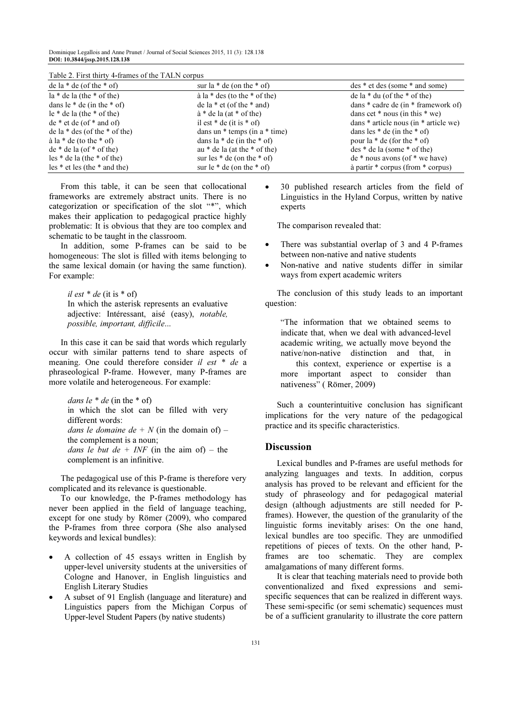Table 2. First thirty 4-frames of the TALN corpus

| de la $*$ de (of the $*$ of)          | sur la $*$ de (on the $*$ of)            | des * et des (some * and some)            |
|---------------------------------------|------------------------------------------|-------------------------------------------|
| $la * de la (the * of the)$           | $\hat{a}$ la $*$ des (to the $*$ of the) | de la $*$ du (of the $*$ of the)          |
| dans le $*$ de (in the $*$ of)        | de la $*$ et (of the $*$ and)            | dans $*$ cadre de (in $*$ framework of)   |
| $le$ * de la (the * of the)           | $\dot{a}$ * de la (at * of the)          | dans cet $*$ nous (in this $*$ we)        |
| $de * et de (of * and of)$            | il est $*$ de (it is $*$ of)             | dans $*$ article nous (in $*$ article we) |
| de la $*$ des (of the $*$ of the)     | dans un $*$ temps (in a $*$ time)        | dans les $*$ de (in the $*$ of)           |
| $\dot{a}$ la $*$ de (to the $*$ of)   | dans la $*$ de (in the $*$ of)           | pour la $*$ de (for the $*$ of)           |
| $de * de la (of * of the)$            | au $*$ de la (at the $*$ of the)         | $des * de la (some * of the)$             |
| $\text{les}$ * de la (the * of the)   | sur les $*$ de (on the $*$ of)           | $de * nous avons (of * we have)$          |
| $\text{les}$ * et les (the * and the) | sur le $*$ de (on the $*$ of)            | à partir $*$ corpus (from $*$ corpus)     |

From this table, it can be seen that collocational frameworks are extremely abstract units. There is no categorization or specification of the slot "\*", which makes their application to pedagogical practice highly problematic: It is obvious that they are too complex and schematic to be taught in the classroom.

In addition, some P-frames can be said to be homogeneous: The slot is filled with items belonging to the same lexical domain (or having the same function). For example:

il est  $*$  de (it is  $*$  of) In which the asterisk represents an evaluative adjective: Intéressant, aisé (easy), notable, possible, important, difficile...

In this case it can be said that words which regularly occur with similar patterns tend to share aspects of meaning. One could therefore consider il est \* de a phraseological P-frame. However, many P-frames are more volatile and heterogeneous. For example:

dans le  $*$  de (in the  $*$  of) in which the slot can be filled with very different words: dans le domaine de + N (in the domain of) – the complement is a noun; dans le but de + INF (in the aim of) – the complement is an infinitive.

The pedagogical use of this P-frame is therefore very complicated and its relevance is questionable.

To our knowledge, the P-frames methodology has never been applied in the field of language teaching, except for one study by Römer (2009), who compared the P-frames from three corpora (She also analysed keywords and lexical bundles):

- A collection of 45 essays written in English by upper-level university students at the universities of Cologne and Hanover, in English linguistics and English Literary Studies
- A subset of 91 English (language and literature) and Linguistics papers from the Michigan Corpus of Upper-level Student Papers (by native students)

• 30 published research articles from the field of Linguistics in the Hyland Corpus, written by native experts

The comparison revealed that:

- There was substantial overlap of 3 and 4 P-frames between non-native and native students
- Non-native and native students differ in similar ways from expert academic writers

The conclusion of this study leads to an important question:

"The information that we obtained seems to indicate that, when we deal with advanced-level academic writing, we actually move beyond the native/non-native distinction and that, in this context, experience or expertise is a more important aspect to consider than nativeness" ( Römer, 2009)

Such a counterintuitive conclusion has significant implications for the very nature of the pedagogical practice and its specific characteristics.

# **Discussion**

Lexical bundles and P-frames are useful methods for analyzing languages and texts. In addition, corpus analysis has proved to be relevant and efficient for the study of phraseology and for pedagogical material design (although adjustments are still needed for Pframes). However, the question of the granularity of the linguistic forms inevitably arises: On the one hand, lexical bundles are too specific. They are unmodified repetitions of pieces of texts. On the other hand, Pframes are too schematic. They are complex amalgamations of many different forms.

It is clear that teaching materials need to provide both conventionalized and fixed expressions and semispecific sequences that can be realized in different ways. These semi-specific (or semi schematic) sequences must be of a sufficient granularity to illustrate the core pattern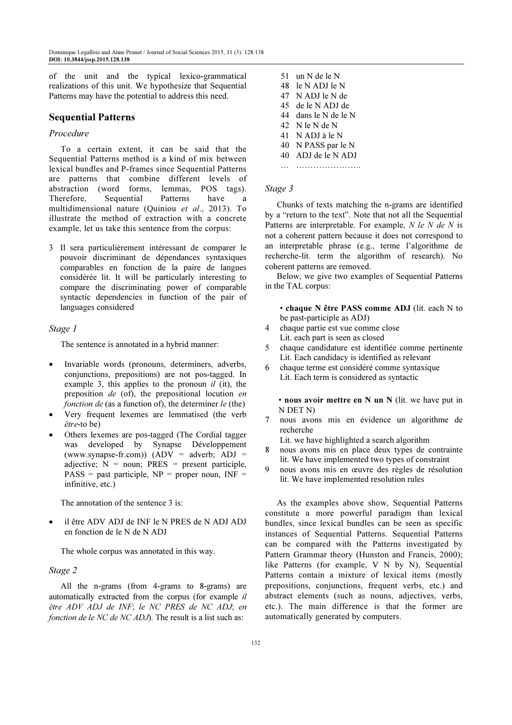of the unit and the typical lexico-grammatical realizations of this unit. We hypothesize that Sequential Patterns may have the potential to address this need.

# Sequential Patterns

### Procedure

To a certain extent, it can be said that the Sequential Patterns method is a kind of mix between lexical bundles and P-frames since Sequential Patterns are patterns that combine different levels of abstraction (word forms, lemmas, POS tags). Therefore, Sequential Patterns have a multidimensional nature (Quiniou et al., 2013). To illustrate the method of extraction with a concrete example, let us take this sentence from the corpus:

3 Il sera particulièrement intéressant de comparer le pouvoir discriminant de dépendances syntaxiques comparables en fonction de la paire de langues considérée lit. It will be particularly interesting to compare the discriminating power of comparable syntactic dependencies in function of the pair of languages considered

### Stage 1

The sentence is annotated in a hybrid manner:

- Invariable words (pronouns, determiners, adverbs, conjunctions, prepositions) are not pos-tagged. In example 3, this applies to the pronoun  $il$  (it), the preposition de (of), the prepositional locution en fonction de (as a function of), the determiner  $le$  (the)
- Very frequent lexemes are lemmatised (the verb être-to be)
- Others lexemes are pos-tagged (The Cordial tagger was developed by Synapse Développement (www.synapse-fr.com))  $(ADV = adverb; ADJ =$ adjective;  $N =$  noun; PRES = present participle,  $PASS = past particle, NP = proper noun, INF =$ infinitive, etc.)

The annotation of the sentence 3 is:

• il être ADV ADJ de INF le N PRES de N ADJ ADJ en fonction de le N de N ADJ

The whole corpus was annotated in this way.

# Stage 2

All the n-grams (from 4-grams to 8-grams) are automatically extracted from the corpus (for example il être ADV ADJ de INF; le NC PRES de NC ADJ; en fonction de le NC de NC ADJ). The result is a list such as:

 51 un N de le N 48 le N ADJ le N 47 N ADJ le N de 45 de le N ADJ de 44 dans le N de le N 42 N le N de N 41 N ADJ à le N 40 N PASS par le N 40 ADJ de le N ADJ … …………………..

### Stage 3

Chunks of texts matching the n-grams are identified by a "return to the text". Note that not all the Sequential Patterns are interpretable. For example, N le N de N is not a coherent pattern because it does not correspond to an interpretable phrase (e.g., terme l'algorithme de recherche-lit. term the algorithm of research). No coherent patterns are removed.

Below, we give two examples of Sequential Patterns in the TAL corpus:

 • chaque N être PASS comme ADJ (lit. each N to be past-participle as ADJ)

- 4 chaque partie est vue comme close
- Lit. each part is seen as closed 5 chaque candidature est identifiée comme pertinente
- Lit. Each candidacy is identified as relevant
- 6 chaque terme est considéré comme syntaxique Lit. Each term is considered as syntactic

 • nous avoir mettre en N un N (lit. we have put in N DET N)

7 nous avons mis en évidence un algorithme de recherche

Lit. we have highlighted a search algorithm

- nous avons mis en place deux types de contrainte lit. We have implemented two types of constraint
- 9 nous avons mis en œuvre des règles de résolution lit. We have implemented resolution rules

As the examples above show, Sequential Patterns constitute a more powerful paradigm than lexical bundles, since lexical bundles can be seen as specific instances of Sequential Patterns. Sequential Patterns can be compared with the Patterns investigated by Pattern Grammar theory (Hunston and Francis, 2000); like Patterns (for example, V N by N), Sequential Patterns contain a mixture of lexical items (mostly prepositions, conjunctions, frequent verbs, etc.) and abstract elements (such as nouns, adjectives, verbs, etc.). The main difference is that the former are automatically generated by computers.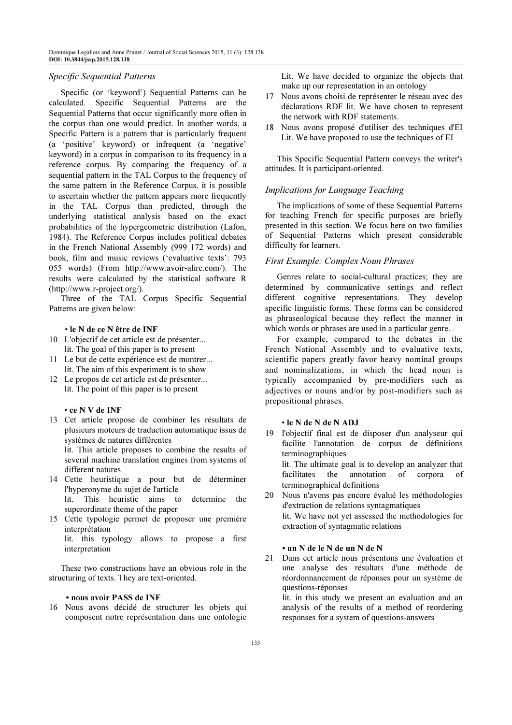### Specific Sequential Patterns

Specific (or 'keyword') Sequential Patterns can be calculated. Specific Sequential Patterns are the Sequential Patterns that occur significantly more often in the corpus than one would predict. In another words, a Specific Pattern is a pattern that is particularly frequent (a 'positive' keyword) or infrequent (a 'negative' keyword) in a corpus in comparison to its frequency in a reference corpus. By comparing the frequency of a sequential pattern in the TAL Corpus to the frequency of the same pattern in the Reference Corpus, it is possible to ascertain whether the pattern appears more frequently in the TAL Corpus than predicted, through the underlying statistical analysis based on the exact probabilities of the hypergeometric distribution (Lafon, 1984). The Reference Corpus includes political debates in the French National Assembly (999 172 words) and book, film and music reviews ('evaluative texts': 793 055 words) (From http://www.avoir-alire.com/). The results were calculated by the statistical software R (http://www.r-project.org/).

Three of the TAL Corpus Specific Sequential Patterns are given below:

### • le N de ce N être de INF

- 10 L'objectif de cet article est de présenter... lit. The goal of this paper is to present
- 11 Le but de cette expérience est de montrer... lit. The aim of this experiment is to show
- 12 Le propos de cet article est de présenter... lit. The point of this paper is to present

• ce N V de INF

13 Cet article propose de combiner les résultats de plusieurs moteurs de traduction automatique issus de systèmes de natures différentes

 lit. This article proposes to combine the results of several machine translation engines from systems of different natures

- 14 Cette heuristique a pour but de déterminer l'hyperonyme du sujet de l'article lit. This heuristic aims to determine the superordinate theme of the paper
- 15 Cette typologie permet de proposer une première interprétation lit. this typology allows to propose a first interpretation

These two constructions have an obvious role in the structuring of texts. They are text-oriented.

### • nous avoir PASS de INF

16 Nous avons décidé de structurer les objets qui composent notre représentation dans une ontologie Lit. We have decided to organize the objects that make up our representation in an ontology

- 17 Nous avons choisi de représenter le réseau avec des déclarations RDF lit. We have chosen to represent the network with RDF statements.
- 18 Nous avons proposé d'utiliser des techniques d'EI Lit. We have proposed to use the techniques of EI

This Specific Sequential Pattern conveys the writer's attitudes. It is participant-oriented.

### Implications for Language Teaching

The implications of some of these Sequential Patterns for teaching French for specific purposes are briefly presented in this section. We focus here on two families of Sequential Patterns which present considerable difficulty for learners.

### First Example: Complex Noun Phrases

Genres relate to social-cultural practices; they are determined by communicative settings and reflect different cognitive representations. They develop specific linguistic forms. These forms can be considered as phraseological because they reflect the manner in which words or phrases are used in a particular genre.

For example, compared to the debates in the French National Assembly and to evaluative texts, scientific papers greatly favor heavy nominal groups and nominalizations, in which the head noun is typically accompanied by pre-modifiers such as adjectives or nouns and/or by post-modifiers such as prepositional phrases.

### • le N de N de N ADJ

- 19 l'objectif final est de disposer d'un analyseur qui facilite l'annotation de corpus de définitions terminographiques lit. The ultimate goal is to develop an analyzer that facilitates the annotation of corpora of terminographical definitions
- 20 Nous n'avons pas encore évalué les méthodologies d'extraction de relations syntagmatiques lit. We have not yet assessed the methodologies for extraction of syntagmatic relations

### • un N de le N de un N de N

21 Dans cet article nous présentons une évaluation et une analyse des résultats d'une méthode de réordonnancement de réponses pour un système de questions-réponses

 lit. in this study we present an evaluation and an analysis of the results of a method of reordering responses for a system of questions-answers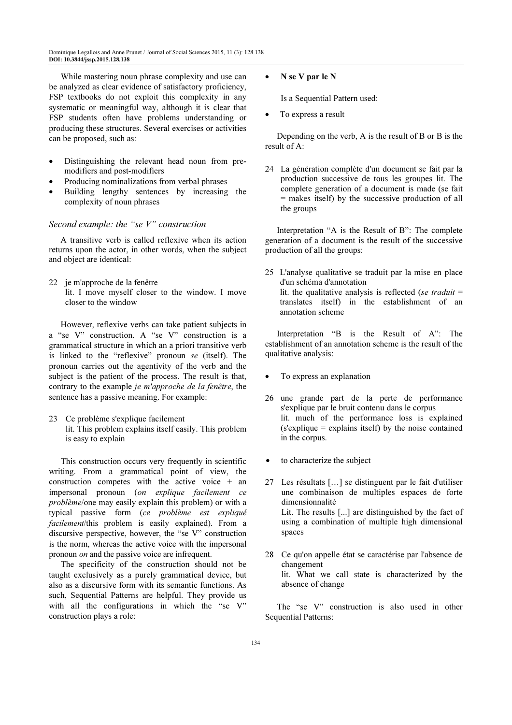While mastering noun phrase complexity and use can be analyzed as clear evidence of satisfactory proficiency, FSP textbooks do not exploit this complexity in any systematic or meaningful way, although it is clear that FSP students often have problems understanding or producing these structures. Several exercises or activities can be proposed, such as:

- Distinguishing the relevant head noun from premodifiers and post-modifiers
- Producing nominalizations from verbal phrases
- Building lengthy sentences by increasing the complexity of noun phrases

# Second example: the "se V" construction

A transitive verb is called reflexive when its action returns upon the actor, in other words, when the subject and object are identical:

22 je m'approche de la fenêtre lit. I move myself closer to the window. I move closer to the window

However, reflexive verbs can take patient subjects in a "se V" construction. A "se V" construction is a grammatical structure in which an a priori transitive verb is linked to the "reflexive" pronoun se (itself). The pronoun carries out the agentivity of the verb and the subject is the patient of the process. The result is that, contrary to the example je m'approche de la fenêtre, the sentence has a passive meaning. For example:

23 Ce problème s'explique facilement lit. This problem explains itself easily. This problem is easy to explain

This construction occurs very frequently in scientific writing. From a grammatical point of view, the construction competes with the active voice + an impersonal pronoun (on explique facilement ce problème/one may easily explain this problem) or with a typical passive form (ce problème est expliqué facilement/this problem is easily explained). From a discursive perspective, however, the "se V" construction is the norm, whereas the active voice with the impersonal pronoun on and the passive voice are infrequent.

The specificity of the construction should not be taught exclusively as a purely grammatical device, but also as a discursive form with its semantic functions. As such, Sequential Patterns are helpful. They provide us with all the configurations in which the "se V" construction plays a role:

• N se V par le N

Is a Sequential Pattern used:

To express a result

Depending on the verb, A is the result of B or B is the result of A:

24 La génération complète d'un document se fait par la production successive de tous les groupes lit. The complete generation of a document is made (se fait = makes itself) by the successive production of all the groups

Interpretation "A is the Result of B": The complete generation of a document is the result of the successive production of all the groups:

25 L'analyse qualitative se traduit par la mise en place d'un schéma d'annotation lit. the qualitative analysis is reflected (se traduit  $=$ translates itself) in the establishment of an annotation scheme

Interpretation "B is the Result of A": The establishment of an annotation scheme is the result of the qualitative analysis:

- To express an explanation
- 26 une grande part de la perte de performance s'explique par le bruit contenu dans le corpus lit. much of the performance loss is explained (s'explique = explains itself) by the noise contained in the corpus.
- to characterize the subject
- 27 Les résultats […] se distinguent par le fait d'utiliser une combinaison de multiples espaces de forte dimensionnalité Lit. The results [...] are distinguished by the fact of using a combination of multiple high dimensional spaces
- 28 Ce qu'on appelle état se caractérise par l'absence de changement lit. What we call state is characterized by the absence of change

The "se V" construction is also used in other Sequential Patterns: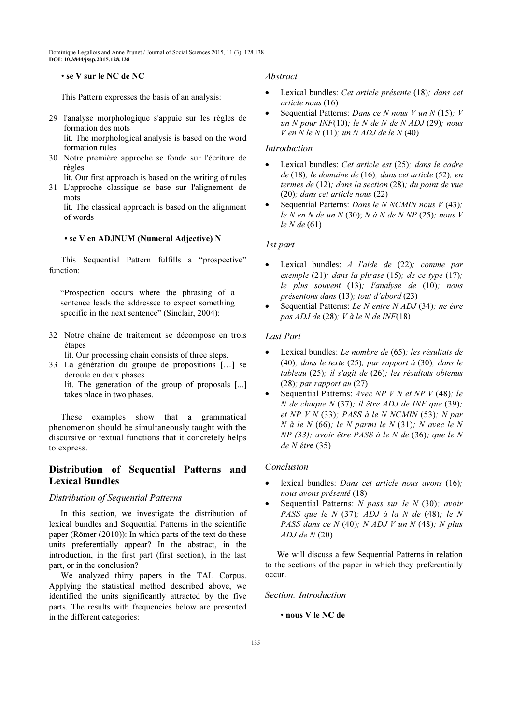### • se V sur le NC de NC

This Pattern expresses the basis of an analysis:

- 29 l'analyse morphologique s'appuie sur les règles de formation des mots lit. The morphological analysis is based on the word formation rules
- 30 Notre première approche se fonde sur l'écriture de règles
- lit. Our first approach is based on the writing of rules 31 L'approche classique se base sur l'alignement de mots

 lit. The classical approach is based on the alignment of words

### • se V en ADJNUM (Numeral Adjective) N

This Sequential Pattern fulfills a "prospective" function:

"Prospection occurs where the phrasing of a sentence leads the addressee to expect something specific in the next sentence" (Sinclair, 2004):

32 Notre chaîne de traitement se décompose en trois étapes

lit. Our processing chain consists of three steps.

33 La génération du groupe de propositions […] se déroule en deux phases lit. The generation of the group of proposals [...] takes place in two phases.

These examples show that a grammatical phenomenon should be simultaneously taught with the discursive or textual functions that it concretely helps to express.

# Distribution of Sequential Patterns and Lexical Bundles

# Distribution of Sequential Patterns

In this section, we investigate the distribution of lexical bundles and Sequential Patterns in the scientific paper (Römer (2010)): In which parts of the text do these units preferentially appear? In the abstract, in the introduction, in the first part (first section), in the last part, or in the conclusion?

We analyzed thirty papers in the TAL Corpus. Applying the statistical method described above, we identified the units significantly attracted by the five parts. The results with frequencies below are presented in the different categories:

### Abstract

- Lexical bundles: Cet article présente (18); dans cet article nous (16)
- Sequential Patterns: Dans ce N nous V un N (15); V un N pour INF(10); le N de N de N ADJ (29); nous  $V$  en N le N (11); un N ADJ de le N (40)

### Introduction

- Lexical bundles: Cet article est (25); dans le cadre de (18); le domaine de (16); dans cet article (52); en termes de (12); dans la section (28); du point de vue (20); dans cet article nous (22)
- Sequential Patterns: Dans le N NCMIN nous  $V(43)$ ; le N en N de un N (30); N à N de N NP (25); nous V le N de (61)

### 1st part

- Lexical bundles: A l'aide de (22); comme par exemple (21); dans la phrase (15); de ce type (17); le plus souvent (13); l'analyse de (10); nous présentons dans (13); tout d'abord (23)
- Sequential Patterns: Le N entre N ADJ (34); ne être pas ADJ de  $(28)$ ; V à le N de INF $(18)$

## Last Part

- Lexical bundles: Le nombre de (65); les résultats de (40); dans le texte (25); par rapport à (30); dans le tableau (25); il s'agit de (26); les résultats obtenus (28); par rapport au (27)
- Sequential Patterns: Avec NP V N et NP V (48); le N de chaque N (37); il être ADJ de INF que (39); et NP V N (33); PASS à le N NCMIN (53); N par  $N$  à le  $N$  (66); le  $N$  parmi le  $N$  (31);  $N$  avec le  $N$ NP (33); avoir être PASS à le N de (36); que le N de N être (35)

# Conclusion

- lexical bundles: Dans cet article nous avons (16); nous avons présenté (18)
- Sequential Patterns: N pass sur le N (30); avoir PASS que le  $N$  (37); ADJ à la  $N$  de (48); le  $N$ PASS dans ce  $N$  (40);  $N$  ADJ  $V$  un  $N$  (48);  $N$  plus  $ADJ$  de  $N(20)$

We will discuss a few Sequential Patterns in relation to the sections of the paper in which they preferentially occur.

#### Section: Introduction

• nous V le NC de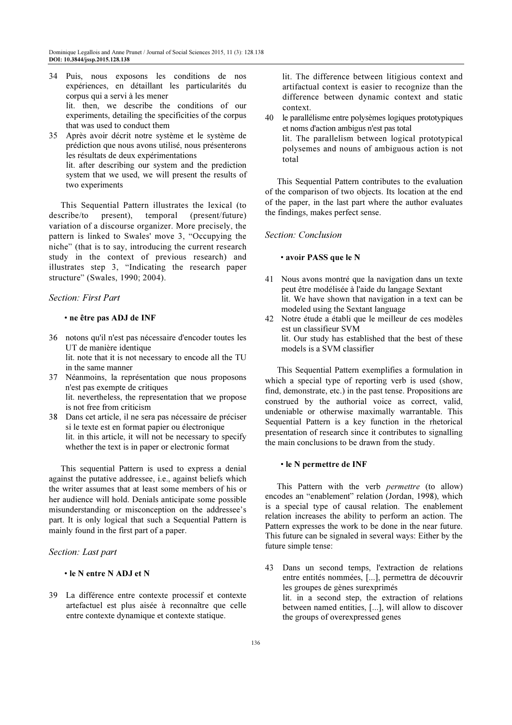- 34 Puis, nous exposons les conditions de nos expériences, en détaillant les particularités du corpus qui a servi à les mener lit. then, we describe the conditions of our experiments, detailing the specificities of the corpus that was used to conduct them
- 35 Après avoir décrit notre système et le système de prédiction que nous avons utilisé, nous présenterons les résultats de deux expérimentations lit. after describing our system and the prediction system that we used, we will present the results of two experiments

This Sequential Pattern illustrates the lexical (to describe/to present), temporal (present/future) variation of a discourse organizer. More precisely, the pattern is linked to Swales' move 3, "Occupying the niche" (that is to say, introducing the current research study in the context of previous research) and illustrates step 3, "Indicating the research paper structure" (Swales, 1990; 2004).

# Section: First Part

### • ne être pas ADJ de INF

- 36 notons qu'il n'est pas nécessaire d'encoder toutes les UT de manière identique lit. note that it is not necessary to encode all the TU in the same manner
- 37 Néanmoins, la représentation que nous proposons n'est pas exempte de critiques lit. nevertheless, the representation that we propose is not free from criticism
- 38 Dans cet article, il ne sera pas nécessaire de préciser si le texte est en format papier ou électronique lit. in this article, it will not be necessary to specify whether the text is in paper or electronic format

This sequential Pattern is used to express a denial against the putative addressee, i.e., against beliefs which the writer assumes that at least some members of his or her audience will hold. Denials anticipate some possible misunderstanding or misconception on the addressee's part. It is only logical that such a Sequential Pattern is mainly found in the first part of a paper.

### Section: Last part

# • le N entre N ADJ et N

39 La différence entre contexte processif et contexte artefactuel est plus aisée à reconnaître que celle entre contexte dynamique et contexte statique.

 lit. The difference between litigious context and artifactual context is easier to recognize than the difference between dynamic context and static context.

40 le parallélisme entre polysèmes logiques prototypiques et noms d'action ambigus n'est pas total lit. The parallelism between logical prototypical polysemes and nouns of ambiguous action is not total

This Sequential Pattern contributes to the evaluation of the comparison of two objects. Its location at the end of the paper, in the last part where the author evaluates the findings, makes perfect sense.

### Section: Conclusion

# • avoir PASS que le N

- 41 Nous avons montré que la navigation dans un texte peut être modélisée à l'aide du langage Sextant lit. We have shown that navigation in a text can be modeled using the Sextant language
- 42 Notre étude a établi que le meilleur de ces modèles est un classifieur SVM lit. Our study has established that the best of these models is a SVM classifier

This Sequential Pattern exemplifies a formulation in which a special type of reporting verb is used (show, find, demonstrate, etc.) in the past tense. Propositions are construed by the authorial voice as correct, valid, undeniable or otherwise maximally warrantable. This Sequential Pattern is a key function in the rhetorical presentation of research since it contributes to signalling the main conclusions to be drawn from the study.

#### • le N permettre de INF

This Pattern with the verb *permettre* (to allow) encodes an "enablement" relation (Jordan, 1998), which is a special type of causal relation. The enablement relation increases the ability to perform an action. The Pattern expresses the work to be done in the near future. This future can be signaled in several ways: Either by the future simple tense:

43 Dans un second temps, l'extraction de relations entre entités nommées, [...], permettra de découvrir les groupes de gènes surexprimés lit. in a second step, the extraction of relations between named entities, [...], will allow to discover the groups of overexpressed genes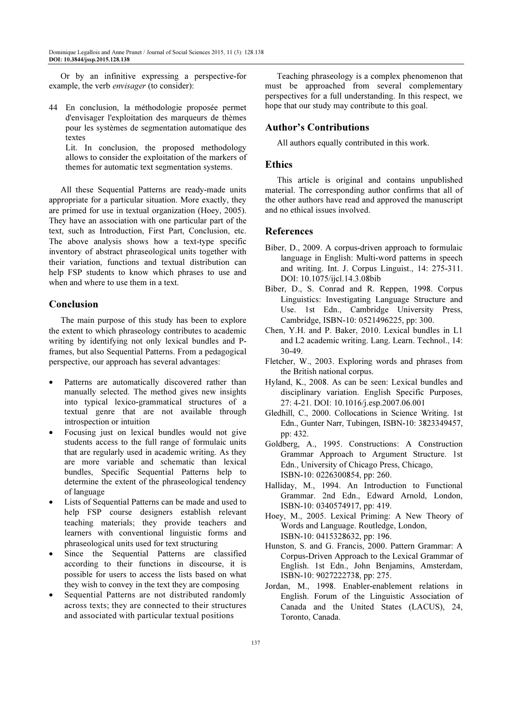Or by an infinitive expressing a perspective-for example, the verb envisager (to consider):

44 En conclusion, la méthodologie proposée permet d'envisager l'exploitation des marqueurs de thèmes pour les systèmes de segmentation automatique des textes

 Lit. In conclusion, the proposed methodology allows to consider the exploitation of the markers of themes for automatic text segmentation systems.

All these Sequential Patterns are ready-made units appropriate for a particular situation. More exactly, they are primed for use in textual organization (Hoey, 2005). They have an association with one particular part of the text, such as Introduction, First Part, Conclusion, etc. The above analysis shows how a text-type specific inventory of abstract phraseological units together with their variation, functions and textual distribution can help FSP students to know which phrases to use and when and where to use them in a text.

# Conclusion

The main purpose of this study has been to explore the extent to which phraseology contributes to academic writing by identifying not only lexical bundles and Pframes, but also Sequential Patterns. From a pedagogical perspective, our approach has several advantages:

- Patterns are automatically discovered rather than manually selected. The method gives new insights into typical lexico-grammatical structures of a textual genre that are not available through introspection or intuition
- Focusing just on lexical bundles would not give students access to the full range of formulaic units that are regularly used in academic writing. As they are more variable and schematic than lexical bundles, Specific Sequential Patterns help to determine the extent of the phraseological tendency of language
- Lists of Sequential Patterns can be made and used to help FSP course designers establish relevant teaching materials; they provide teachers and learners with conventional linguistic forms and phraseological units used for text structuring
- Since the Sequential Patterns are classified according to their functions in discourse, it is possible for users to access the lists based on what they wish to convey in the text they are composing
- Sequential Patterns are not distributed randomly across texts; they are connected to their structures and associated with particular textual positions

Teaching phraseology is a complex phenomenon that must be approached from several complementary perspectives for a full understanding. In this respect, we hope that our study may contribute to this goal.

# Author's Contributions

All authors equally contributed in this work.

# Ethics

This article is original and contains unpublished material. The corresponding author confirms that all of the other authors have read and approved the manuscript and no ethical issues involved.

# References

- Biber, D., 2009. A corpus-driven approach to formulaic language in English: Multi-word patterns in speech and writing. Int. J. Corpus Linguist., 14: 275-311. DOI: 10.1075/ijcl.14.3.08bib
- Biber, D., S. Conrad and R. Reppen, 1998. Corpus Linguistics: Investigating Language Structure and Use. 1st Edn., Cambridge University Press, Cambridge, ISBN-10: 0521496225, pp: 300.
- Chen, Y.H. and P. Baker, 2010. Lexical bundles in L1 and L2 academic writing. Lang. Learn. Technol., 14: 30-49.
- Fletcher, W., 2003. Exploring words and phrases from the British national corpus.
- Hyland, K., 2008. As can be seen: Lexical bundles and disciplinary variation. English Specific Purposes, 27: 4-21. DOI: 10.1016/j.esp.2007.06.001
- Gledhill, C., 2000. Collocations in Science Writing. 1st Edn., Gunter Narr, Tubingen, ISBN-10: 3823349457, pp: 432.
- Goldberg, A., 1995. Constructions: A Construction Grammar Approach to Argument Structure. 1st Edn., University of Chicago Press, Chicago, ISBN-10: 0226300854, pp: 260.
- Halliday, M., 1994. An Introduction to Functional Grammar. 2nd Edn., Edward Arnold, London, ISBN-10: 0340574917, pp: 419.
- Hoey, M., 2005. Lexical Priming: A New Theory of Words and Language. Routledge, London, ISBN-10: 0415328632, pp: 196.
- Hunston, S. and G. Francis, 2000. Pattern Grammar: A Corpus-Driven Approach to the Lexical Grammar of English. 1st Edn., John Benjamins, Amsterdam, ISBN-10: 9027222738, pp: 275.
- Jordan, M., 1998. Enabler-enablement relations in English. Forum of the Linguistic Association of Canada and the United States (LACUS), 24, Toronto, Canada.